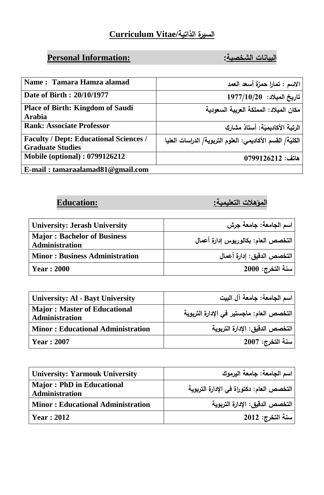#### **السيرة الذاتية/Vitae Curriculum**

## **البيانات الشخصية: :Information Personal**

| Name: Tamara Hamza alamad                                                | الاسم : تمارا حمزة أسعد العمد                              |
|--------------------------------------------------------------------------|------------------------------------------------------------|
| Date of Birth: 20/10/1977                                                | $1977/10/20$ : تاريخ الميلاد                               |
| <b>Place of Birth: Kingdom of Saudi</b><br><b>Arabia</b>                 | مكان المبلاد: المملكة العربية السعودية                     |
| <b>Rank: Associate Professor</b>                                         | الرتبة الأكاديميّة: أستاذ مشارك                            |
| <b>Faculty / Dept: Educational Sciences /</b><br><b>Graduate Studies</b> | الكليّة/ الفسم الأكاديمي: العلوم التربوية/ الدراسات العليا |
| <b>Mobile (optional): 0799126212</b>                                     | $0799126212:$ هاتف                                         |
| E-mail: $tamaraalamad81@gmail.com$                                       |                                                            |

**المؤهالت التعليمية: :Education**

| <b>University: Jerash University</b>                 | اسم الجامعة: جامعة جرش              |
|------------------------------------------------------|-------------------------------------|
| <b>Major: Bachelor of Business</b><br>Administration | التخصص العام: بكالوريوس إدارة أعمال |
| <b>Minor: Business Administration</b>                | التخصص الدقيق: إدارة أعمال          |
| <b>Year</b> : 2000                                   | سنة التخرج: 2000                    |

| <b>University: Al - Bayt University</b>               | اسم الجامعة: جامعة آل البيت               |
|-------------------------------------------------------|-------------------------------------------|
| <b>Major: Master of Educational</b><br>Administration | التخصص العام: ماجستير في الإدارة التربوية |
| <b>Minor: Educational Administration</b>              | التخصص الدقيق: الإدارة التربوية           |
| <b>Year: 2007</b>                                     | سنة التخرج: 2007                          |

| <b>University: Yarmouk University</b>                     | اسم الجامعة: جامعة اليرموك                |
|-----------------------------------------------------------|-------------------------------------------|
| <b>Major: PhD in Educational</b><br><b>Administration</b> | التخصص العام: دكتوراة في الإدارة التربوية |
| <b>Minor: Educational Administration</b>                  | التخصص الدقيق: الإدارة التربوية           |
| Year: 2012                                                | سنة التخرج: 2012                          |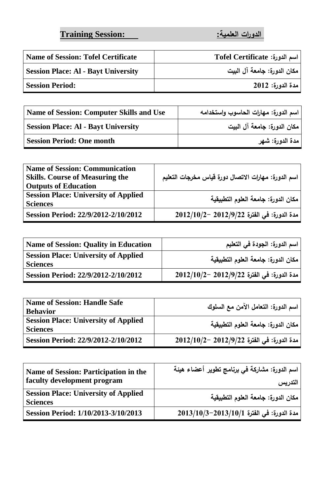**الدورات العلمية: :Session Training**

| <b>Name of Session: Tofel Certificate</b>  | اسم الدورة: Tofel Certificate |
|--------------------------------------------|-------------------------------|
| <b>Session Place: Al - Bayt University</b> | مكان الدورة: جامعة آل البيت   |
| <b>Session Period:</b>                     | مدة الدورة: 2012              |

| <b>Name of Session: Computer Skills and Use</b> | ر اسم الدورة: مهارات الحاسوب واستخدامه |
|-------------------------------------------------|----------------------------------------|
| <b>Session Place: Al - Bayt University</b>      | مكان الدورة: جامعة آل البيت            |
| <b>Session Period: One month</b>                | مدة الدورة: شهر                        |

| <b>Name of Session: Communication</b><br><b>Skills.</b> Course of Measuring the | اسم الدورة: مهارات الاتصال دورة قياس مخرجات التعليم     |
|---------------------------------------------------------------------------------|---------------------------------------------------------|
| <b>Outputs of Education</b>                                                     |                                                         |
| <b>Session Place: University of Applied</b>                                     | مكان الدورة: جامعة العلوم التطبيقية                     |
| <b>Sciences</b>                                                                 |                                                         |
| Session Period: 22/9/2012-2/10/2012                                             | $2012/10/2$ - 2012/9/22 مدة الدورة: في الفترة 2012/10/2 |

| <b>Name of Session: Quality in Education</b>                   | اسم الدورة: الجودة في التعليم                |
|----------------------------------------------------------------|----------------------------------------------|
| <b>Session Place: University of Applied</b><br><b>Sciences</b> | مكان الدورة: جامعة العلوم التطبيقية          |
| Session Period: 22/9/2012-2/10/2012                            | ' مدة الدورة: في الفترة 2012/9/22 –2012/10/2 |

| <b>Name of Session: Handle Safe</b>                            | اسم الدورة: التعامل الآمن مع السلوك              |
|----------------------------------------------------------------|--------------------------------------------------|
| <b>Behavior</b>                                                |                                                  |
| <b>Session Place: University of Applied</b><br><b>Sciences</b> | مكان الدورة: جامعة العلوم التطبيقية              |
| Session Period: 22/9/2012-2/10/2012                            | $2012/10/2$ ~ مدة الدورة: في الفترة 2012/9/22 −2 |

| Name of Session: Participation in the<br>faculty development program | اسم الدورة: مشاركة في برنامج تطوير أعضاء هيئة<br>التدريس |
|----------------------------------------------------------------------|----------------------------------------------------------|
| <b>Session Place: University of Applied</b><br><b>Sciences</b>       | مكان الدورة: جامعة العلوم التطبيقية                      |
| Session Period: 1/10/2013-3/10/2013                                  | مدة الدورة: في الفترة 2013/10/13-2013/10/3               |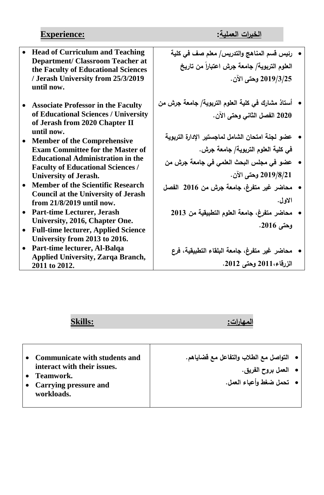# **الخبرات العملية: :Experience**

|           | <b>Head of Curriculum and Teaching</b><br><b>Department/ Classroom Teacher at</b><br>the Faculty of Educational Sciences<br>/ Jerash University from 25/3/2019<br>until now. | رئيس قسم المناهج والتدريس/ معلم صف في كلية<br>العلوم التربوية/ جامعة جرش اعتباراً من تاريخ<br>2019/3/25 وحتى الآن. |  |
|-----------|------------------------------------------------------------------------------------------------------------------------------------------------------------------------------|--------------------------------------------------------------------------------------------------------------------|--|
|           | <b>Associate Professor in the Faculty</b>                                                                                                                                    | أستاذ مشارك في كلية العلوم التربوية/ جامعة جرش من                                                                  |  |
|           | of Educational Sciences / University                                                                                                                                         | 2020 الفصل الثاني وحتى الآن.                                                                                       |  |
|           | of Jerash from 2020 Chapter II                                                                                                                                               |                                                                                                                    |  |
|           | until now.                                                                                                                                                                   | عضو لجنة امتحان الشامل لماجستير الإدارة التربوية                                                                   |  |
|           | <b>Member of the Comprehensive</b><br><b>Exam Committee for the Master of</b>                                                                                                | في كلية العلوم التربوية/ جامعة جرش.                                                                                |  |
|           | <b>Educational Administration in the</b>                                                                                                                                     |                                                                                                                    |  |
|           | <b>Faculty of Educational Sciences /</b>                                                                                                                                     | عضو في مجلس البحث العلمي في جامعة جرش من                                                                           |  |
|           | <b>University of Jerash.</b>                                                                                                                                                 | 2019/8/21 وحتى الآن.                                                                                               |  |
|           | <b>Member of the Scientific Research</b>                                                                                                                                     | محاضر غير متفرغ، جامعة جرش من 2016 الفصل                                                                           |  |
|           | <b>Council at the University of Jerash</b>                                                                                                                                   |                                                                                                                    |  |
|           | from $21/8/2019$ until now.                                                                                                                                                  | الاول.                                                                                                             |  |
|           | <b>Part-time Lecturer, Jerash</b>                                                                                                                                            | محاضر متفرغ، جامعة العلوم التطبيقية من 2013                                                                        |  |
|           | University, 2016, Chapter One.                                                                                                                                               | وحتى 2016.                                                                                                         |  |
|           | <b>Full-time lecturer, Applied Science</b>                                                                                                                                   |                                                                                                                    |  |
|           | University from 2013 to 2016.                                                                                                                                                |                                                                                                                    |  |
| $\bullet$ | Part-time lecturer, Al-Balqa                                                                                                                                                 | محاضر غير متفرغ، جامعة البلقاء التطبيقية، فرع                                                                      |  |
|           | <b>Applied University, Zarqa Branch,</b><br>2011 to 2012.                                                                                                                    | الزرقاء،2011 وحتى 2012.                                                                                            |  |

# **المهارات: :Skills**

| <b>Communicate with students and</b><br>interact with their issues.<br>Teamwork.<br>• Carrying pressure and<br>workloads. | •   التواصل مع الطلاب والتفاعل مع قضاياهم.<br>• العمل بروح الفريق.<br>•   تحمل ضغط وأعباء العمل. |
|---------------------------------------------------------------------------------------------------------------------------|--------------------------------------------------------------------------------------------------|
|---------------------------------------------------------------------------------------------------------------------------|--------------------------------------------------------------------------------------------------|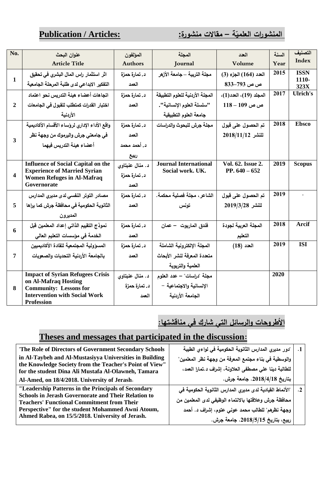### **Publication** / **Articles:**

#### **المنشو ارت العلمي**

| No.                     | عنوان البحث                                                                      | المؤلفون        | المجلة                                           | العدد                                | السنة | التصنيف         |
|-------------------------|----------------------------------------------------------------------------------|-----------------|--------------------------------------------------|--------------------------------------|-------|-----------------|
|                         | <b>Article Title</b>                                                             | <b>Authors</b>  | Journal                                          | Volume                               | Year  | <b>Index</b>    |
| 1                       | اثر استثمار راس المال البشرى في تحقيق                                            | د. تمارة حمزة   | مجلة التربية —جامعة الأزهر                       | العدد (164) الجزء (3)                | 2015  | <b>ISSN</b>     |
|                         | التفكير الابداعى لدى طلبة المرحلة الجامعية                                       | العمد           |                                                  | ص ص 793–833                          |       | 1110-<br>323X   |
| $\overline{2}$          | اتجاهات أعضاء هيئة التدريس نحو اعتماد                                            | د. تمارة حمزة   | المجلة الأردنية للعلوم التطبيقة                  | المجلد (19)، العدد(1)،               | 2017  | <b>Ulrich's</b> |
|                         | اختبار القدرات كمتطلب للقبول في الجامعات                                         | العمد           | "سلسلة العلوم الإنسانية".                        | ص ص 109 – 118                        |       |                 |
|                         | الأردنية                                                                         |                 | جامعة العلوم التطبيقية                           |                                      |       |                 |
| 3                       | واقع الأداء الإدارى لرؤساء الأقسام الأكاديمية                                    | د. تمارة حمزة   | مجلة جرش للبحوث والدراسات                        | تم الحصول على قبول                   | 2018  | <b>Ebsco</b>    |
|                         | في جامعتي جرش واليرموك من وجهة نظر                                               | العمد           |                                                  | $2018/11/12$ للنشر                   |       |                 |
|                         | أعضاء هيئة التدريس فيهما                                                         | د. أحمد محمد    |                                                  |                                      |       |                 |
|                         |                                                                                  | ربيع            |                                                  |                                      |       |                 |
| $\overline{\mathbf{4}}$ | <b>Influence of Social Capital on the</b><br><b>Experience of Married Syrian</b> | د. منال عنبتاوي | <b>Journal International</b><br>Social work. UK. | Vol. 62. Issue 2.<br>PP. $640 - 652$ | 2019  | <b>Scopus</b>   |
|                         | <b>Women Refuges in Al-Mafraq</b>                                                | د. تمارة حمزة   |                                                  |                                      |       |                 |
|                         | Governorate                                                                      | العمد           |                                                  |                                      |       |                 |
|                         | مصادر التوتر النفسي لدى مديرى المدارس                                            | د. تمارة حمزة   | الشاعر ، مجلة فصلية محكمة.                       | تم الحصول على قبول                   | 2019  |                 |
| 5                       | الثانوية الحكومية في محافظة جرش كما يراها                                        | العمد           | تونس                                             | للنشر 2019/3/28                      |       |                 |
|                         | المديرون                                                                         |                 |                                                  |                                      |       |                 |
| 6                       | نموذج التقييم الذاتى إعداد المعلمين قبل                                          | د. تمارة حمزة   | فندق الماريوت – عمان                             | المجلة العربية لجودة                 | 2018  | <b>Arcif</b>    |
|                         | الخدمة في مؤسسات التعليم العالي                                                  | العمد           |                                                  | التعليم                              |       |                 |
| 7                       | المسؤولية المجتمعية للقادة الأكاديميين                                           | د. تمارة حمزة   | المجلة الإلكترونية الشاملة                       | $(18)$ العدد                         | 2019  | <b>ISI</b>      |
|                         | بالجامعة الأردنية التحديات والصعويات                                             | العمد           | متعددة المعرفة لنشر الأبحاث                      |                                      |       |                 |
|                         |                                                                                  |                 | العلمية والتربوية                                |                                      |       |                 |
| 8                       | <b>Impact of Syrian Refugees Crisis</b><br>on Al-Mafraq Hosting                  | د. منال عنبتاوي | مجلة "دراسات" – عدد العلوم                       |                                      | 2020  |                 |
|                         | <b>Community: Lessons for</b>                                                    | د. تمارة حمزة   | الإنسانية والاجتماعية –                          |                                      |       |                 |
|                         | <b>Intervention with Social Work</b><br><b>Profession</b>                        | العمد           | الجامعة الأردنية                                 |                                      |       |                 |

## **األطروحات والرسائل التي شارك في مناقشتها:**

#### **Theses and messages that participated in the discussion:**

| "The Role of Directors of Government Secondary Schools                                                          | "دور مديري المدارس الثانوية الحكومية في لواءي الطيبة     | $\cdot$ 1 |
|-----------------------------------------------------------------------------------------------------------------|----------------------------------------------------------|-----------|
| in Al-Taybeh and Al-Mustasiyya Universities in Building                                                         | والوسطية في بناء مجتمع المعرفة من وجهة نظر المعلمين"     |           |
| the Knowledge Society from the Teacher's Point of View"<br>for the student Dina Ali Mustafa Al-Olawneh, Tamara  | للطالبة دينا على مصطفى العلاونة، إشراف د تمارا العمد،    |           |
| Al-Amed, on 18/4/2018. University of Jerash.                                                                    | بتاريخ 2018/4/18. جامعة جرش.                             |           |
| "Leadership Patterns in the Principals of Secondary                                                             | "الأنماط القيادية لدى مديري المدارس الثانوية الحكومية في | $\cdot$ 2 |
| <b>Schools in Jerash Governorate and Their Relation to</b><br><b>Teachers' Functional Commitment from Their</b> | محافظة جرش وعلاقتها بالانتماء الوظيفي لدى المعلمين من    |           |
| Perspective" for the student Mohammed Awni Atoum,<br>Ahmed Rabea, on 15/5/2018. University of Jerash.           | وجهة نظرهم" للطالب محمد عوني عتوم، إشراف د. أحمد         |           |
|                                                                                                                 | ربيع، بتاريخ 2018/5/15. جامعة جرش.                       |           |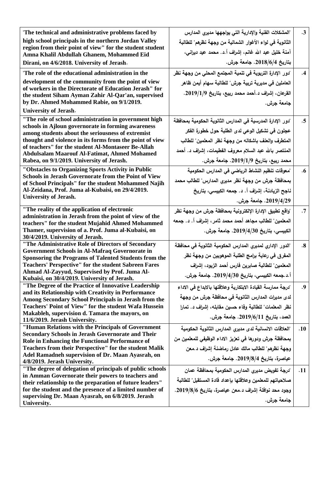| "The technical and administrative problems faced by                                                                          | "المشكلات الفنية والإدارية التي يواجهها مديري المدارس       | $\cdot$ 3         |
|------------------------------------------------------------------------------------------------------------------------------|-------------------------------------------------------------|-------------------|
| high school principals in the northern Jordan Valley<br>region from their point of view" for the student student             | الثانوية في لواء الأغوار الشمالية من وجهة نظرهم" للطالبة    |                   |
| Amna Khalil Abdullah Ghanem, Mohammed Eid                                                                                    | آمنة خليل عبد الله غانم، إشراف أ.د. محمد عيد ديراني،        |                   |
| Dirani, on 4/6/2018. University of Jerash.                                                                                   | بتاريخ 2018/6/4. جامعة جرش.                                 |                   |
| "The role of the educational administration in the                                                                           | "دور الإدارة التربوية في تنمية المجتمع المحلى من وجهة نظر   | .4                |
| development of the community from the point of view                                                                          | العاملين في مديرية تربية جرش" للطالبة سهام أيمن ظاهر        |                   |
| of workers in the Directorate of Education Jerash" for                                                                       | القرعان، إشراف د.أحمد محمد ربيع، بتاريخ 2019/1/9.           |                   |
| the student Siham Ayman Zahir Al-Qar'an, supervised<br>by Dr. Ahmed Mohammed Rabie, on 9/1/2019.                             |                                                             |                   |
| <b>University of Jerash.</b>                                                                                                 | جامعة جرش.                                                  |                   |
| "The role of school administration in government high                                                                        |                                                             |                   |
| schools in Ajloun governorate in forming awareness                                                                           | "دور الإدارة المدرسية في المدارس الثانوية الحكومية بمحافظة  | $.5\phantom{0}$   |
| among students about the seriousness of extremist                                                                            | عجلون في تشكيل الوعي لدى الطلبة حول خطورة الفكر             |                   |
| thought and violence in its forms from the point of view                                                                     | المتطرف والعنف باشكاله من وجهة نظر المعلمين" للطالب         |                   |
| of teachers" for the student Al-Montaseer Be-Allah<br><b>Abdulsalam Maarouf Al-Fatimat, Ahmed Mohamed</b>                    | المنتصر بالله عبد السلام معروف الفطيمات، إشراف د. أحمد      |                   |
| Rabea, on 9/1/2019. University of Jerash.                                                                                    | محمد ربيع، بتاريخ 2019/1/9. جامعة جرش.                      |                   |
| "Obstacles to Organizing Sports Activity in Public                                                                           | "معوقات تنظيم النشاط الرياضي في المدارس الحكومية            | $\cdot 6$         |
| <b>Schools in Jerash Governorate from the Point of View</b>                                                                  | بمحافظة جرش من وجهة نظر مديرى المدارس" للطالب محمد          |                   |
| of School Principals" for the student Mohammed Najih<br>Al-Zeidana, Prof. Juma al-Kubaisi, on 29/4/2019.                     | ناجح الزيادنـة، إشراف أ. د. جمعه الكبيسـي، بتاريخ           |                   |
| <b>University of Jerash.</b>                                                                                                 |                                                             |                   |
|                                                                                                                              | 2019/4/29. جامعة جرش.                                       |                   |
| "The reality of the application of electronic<br>administration in Jerash from the point of view of the                      | "واقع تطبيق الإدارة الإلكترونية بمحافظة جرش من وجهة نظر     | $\cdot$ 7         |
| teachers" for the student Mujahid Ahmed Mohammed                                                                             | المعلمين" للطالب مجاهد أحمد محمد ثامر ، إشراف أ. د. جمعه    |                   |
| Thamer, supervision of a. Prof. Juma al-Kubaisi, on                                                                          | الكبيسي، بتاريخ 2019/4/30. جامعة جرش.                       |                   |
| 30/4/2019. University of Jerash.                                                                                             |                                                             |                   |
| "The Administrative Role of Directors of Secondary                                                                           | "الدور الإداري لمديري المدارس الحكومية الثانوية في محافظة   | $\boldsymbol{.8}$ |
| <b>Government Schools in Al-Mafraq Governorate in</b>                                                                        | المفرق في رعاية برامج الطلبة الموهوبين من وجهة نظر          |                   |
| <b>Sponsoring the Programs of Talented Students from the</b><br><b>Teachers' Perspective'' for the student Sabreen Fares</b> | المعلمين" للطالبة صابرين فارس أحمد الزيود، إشراف            |                   |
| Ahmad Al-Zayyud, Supervised by Prof. Juma Al-                                                                                |                                                             |                   |
| Kubaisi, on 30/4/2019. University of Jerash.                                                                                 | أ.د.جمعه الكبيسي، بتاريخ 2019/4/30. جامعة جرش.              |                   |
| "The Degree of the Practice of Innovative Leadership                                                                         | "درجة ممارسة القيادة الابتكارية وعلاقتها بالابداع في الاداء | .9                |
| and its Relationship with Creativity in Performance<br>Among Secondary School Principals in Jerash from the                  | لدى مديرات المدارس الثانوية في محافظة جرش من وجهة           |                   |
| <b>Teachers' Point of View'' for the student Wafa Hussein</b>                                                                | نظر المعلمات" للطالبة وفاء حسين مقابله، إشراف د. تمارا      |                   |
| Makableh, supervision d. Tamara the mayors, on                                                                               |                                                             |                   |
| 11/6/2019. Jerash University.                                                                                                | العمد، بتاريخ 2019/6/11. جامعة جرش.                         |                   |
| "Human Relations with the Principals of Government                                                                           | "العلاقات الانسانية لدى مديرى المدارس الثانوية الحكومية     | .10               |
| <b>Secondary Schools in Jerash Governorate and Their</b><br>Role in Enhancing the Functional Performance of                  | بمحافظة جرش ودورها في تعزيز الاداء الوظيفي للمعلمين من      |                   |
| <b>Teachers from their Perspective" for the student Malik</b>                                                                | وجهة نظرهم" للطالب مالك عادل رماضنة إشراف د.معن             |                   |
| Adel Ramadneh supervision of Dr. Maan Ayasrah, on                                                                            |                                                             |                   |
| 4/8/2019. Jerash University.                                                                                                 | عياصرة، بتاريخ 2019/8/4. جامعة جرش.                         |                   |
| "The degree of delegation of principals of public schools                                                                    | "درجة تفويض مديرى المدارس الحكومية بمحافظة عمان             | .11               |
| in Amman Governorate their powers to teachers and<br>their relationship to the preparation of future leaders"                | صلاحياتهم للمعلمين وعلاقتها بإعداد قادة المستقبل" للطالبة   |                   |
| for the student and the presence of a limited number of                                                                      | وجود محد نوافلة إشراف د معن عياصرة، بتاريخ 2019/8/6.        |                   |
| supervising Dr. Maan Ayasrah, on 6/8/2019. Jerash                                                                            |                                                             |                   |
| University.                                                                                                                  | جامعة جرش.                                                  |                   |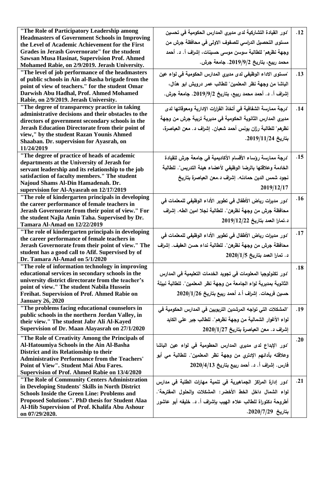| "The Role of Participatory Leadership among                                                    | "دور القيادة التشاركية لدى مديري المدارس الحكومية في تحسين         | .12 |
|------------------------------------------------------------------------------------------------|--------------------------------------------------------------------|-----|
| <b>Headmasters of Government Schools in Improving</b>                                          |                                                                    |     |
| the Level of Academic Achievement for the First                                                | مستوى التحصيل الدراسي للصفوف الاولى في محافظة جرش من               |     |
| <b>Grades in Jerash Governorate" for the student</b>                                           | وجهة نظرهم" للطالبة سوسن موسى حسينات، إشراف أ. د. أحمد             |     |
| <b>Sawsan Musa Hasinat, Supervision Prof. Ahmed</b>                                            |                                                                    |     |
| Mohamed Rabie, on 2/9/2019. Jerash University.                                                 | محمد ربيع، بتاريخ 2019/9/2. جامعة جرش.                             |     |
| "The level of job performance of the headmasters                                               | "مستوى الاداء الوظيفي لدى مديري المدارس الحكومية في لواء عين       | .13 |
| of public schools in Ain al-Basha brigade from the                                             |                                                                    |     |
| point of view of teachers." for the student Omar                                               | الباشا من وجهة نظر المعلمين" للطالب عمر درويش ابو هذال،            |     |
| Darwish Abu Hadhal, Prof. Ahmed Mohamed                                                        | إشراف أ. د. أحمد محمد ربيع، بتاريخ 2019/9/2. جامعة جرش.            |     |
| Rabie, on 2/9/2019. Jerash University.                                                         |                                                                    |     |
| "The degree of transparency practice in taking                                                 | "درجة ممارسة الشفافية في أتخاذ القرارات الإدارية ومعوقاتها لدى     | .14 |
| administrative decisions and their obstacles to the                                            | مديري المدارس الثانوية الحكومية في مديرية تربية جرش من وجهة        |     |
| directors of government secondary schools in the                                               |                                                                    |     |
| Jerash Education Directorate from their point of                                               | نظرهم" للطالبة رزان يونس أحمد شعبان. إشراف د. معن العياصرة،        |     |
| view," by the student Razan Younis Ahmed                                                       | بتاريخ 2019/11/24.                                                 |     |
| Shaaban. Dr. supervision for Ayasrah, on                                                       |                                                                    |     |
| 11/24/2019                                                                                     |                                                                    |     |
| "The degree of practice of heads of academic                                                   | "درجة ممارسة رؤساء الأقسام الأكاديمية في جامعة جرش للقيادة         | .15 |
| departments at the University of Jerash for                                                    | الخادمة وعلاقتها بالرضا الوظيفي لأعضاء هيئة التدريس". للطالبة      |     |
| servant leadership and its relationship to the job                                             |                                                                    |     |
| satisfaction of faculty members." The student<br>Najoud Shams Al-Din Hamadenah. Dr.            | نجود شمس الدين حمادنـه. إشراف د.معن العياصرة بتاريخ                |     |
| supervision for Al-Ayasrah on 12/17/2019                                                       | 2019/12/17                                                         |     |
| "The role of kindergarten principals in developing                                             |                                                                    |     |
| the career performance of female teachers in                                                   | "دور مديرات رياض الأطفال في تطوير الأداء الوظيفي للمعلمات فى       | .16 |
| Jerash Governorate from their point of view." For                                              | محافظة جرش من وجهة نظرهن". للطالبة نجلا امين الطه. إشراف           |     |
| the student Najla Amin Taha. Supervised by Dr.                                                 |                                                                    |     |
| Tamara Al-Amad on 12/22/2019                                                                   | د.تمارا العمد بتاريخ 2019/12/22                                    |     |
| "The role of kindergarten principals in developing                                             |                                                                    | .17 |
| the career performance of female teachers in                                                   | "دور مديرات رياض الأطفال في تطوير الأداء الوظيفي للمعلمات في       |     |
| Jerash Governorate from their point of view." The                                              | محافظة جرش من وجهة نظرهن". للطالبة نداء حسن العفيف. إشراف          |     |
| student has a good call to Afif. Supervised by of                                              | د. تمارا العمد بتاريخ 2020/1/5                                     |     |
| Dr. Tamara Al-Amad on 5/1/2020                                                                 |                                                                    |     |
| "The role of information technology in improving                                               |                                                                    | .18 |
| educational services in secondary schools in the                                               | "دور. تكنولوجيا المعلومات في تجويد الخدمات التعليمية في المدارس    |     |
| university district directorate from the teacher's                                             | الثانوية بمديرية لواء الجامعة من وجهة نظر المعلمين". للطالبة نبيلة |     |
| point of view." The student Nabila Hussein                                                     |                                                                    |     |
| Freihat. Supervision of Prof. Ahmed Rabie on                                                   | حسين فريحات. إشراف أ.د أحمد ربيع بتاريخ 2020/1/26                  |     |
| <b>January 26, 2020</b>                                                                        |                                                                    |     |
| "The problems facing educational counselors in                                                 | "المشكلات التي تواجه المرشدين التربويين في المدارس الحكومية في     | .19 |
| public schools in the northern Jordan Valley, in                                               | لواء الأغوار الشمالية من وجهة نظرهم". للطالب جبر على الكايد        |     |
| their view." The student Jabr Ali Al-Kayed<br>Supervision of Dr. Maan Alayasrah on 27/1/2020   |                                                                    |     |
|                                                                                                | إشراف د. معن العياصرة بتاريخ 2020/1/27                             |     |
| "The Role of Creativity Among the Principals of                                                |                                                                    | .20 |
| Al-Hatoumiya Schools in the Ain Al-Basha                                                       | "دور الإبداع لدى مديري المدارس الحطومية في لواء عين الباشا         |     |
| District and its Relationship to their                                                         | وعلاقته بأدائهم الإدتري من وجهة نظر المعلمين". للطالبة مي أبو      |     |
| <b>Administrative Performance from the Teachers'</b><br>Point of View". Student Mai Abu Fares. | فارس. إشراف أ. د. أحمد ربيع بتاريخ 2020/4/13                       |     |
|                                                                                                |                                                                    |     |
| Supervision of Prof. Ahmed Rabie on 13/4/2020<br>"The Role of Community Centers Administration |                                                                    |     |
| in Developing Students' Skills in North District                                               | "دور إدارة المراكز الجماهيرية في تنمية مهارات الطلبة في مدارس      | .21 |
| <b>Schools Inside the Green Line: Problems and</b>                                             | لواء الشمال داخل الخط الأخضر : المشكلات والحلول المفترحة".         |     |
| Proposed Solutions". PhD thesis for Student Alaa                                               | أطروحة دكتوراة للطالب علاء الـهيب بإشراف أ. د. خليفه أبو عاشور     |     |
| Al-Hib Supervision of Prof. Khalifa Abu Ashour                                                 |                                                                    |     |
| on 07/29/2020.                                                                                 | بتاريخ 2020/7/29.                                                  |     |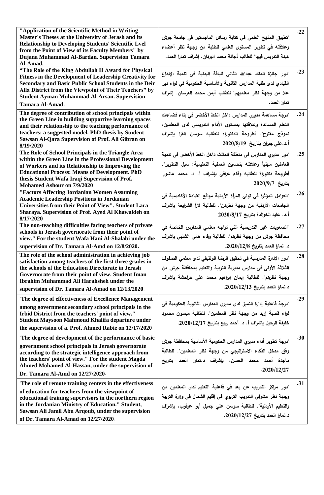| "Application of the Scientific Method in Writing<br>Master's Theses at the University of Jerash and its<br><b>Relationship to Developing Students' Scientific Lvel</b> | "تطبيق المنهج العلمي في كتابة رسائل الماجستير في جامعة جرش           | .22              |
|------------------------------------------------------------------------------------------------------------------------------------------------------------------------|----------------------------------------------------------------------|------------------|
| from the Point of View of its Faculty Members" by                                                                                                                      | وعلاقته في تطوير المستوى العلمي للطلبة من وجهة نظر أعضاء             |                  |
| Dujana Muhammad Al-Bardan. Supervision Tamara                                                                                                                          | هيئة التدريس فيها" للطالب دُجانة محمد البردان. إشراف تمارا العمد.    |                  |
| Al-Amad.                                                                                                                                                               |                                                                      |                  |
| "The Role of the King Abdullah II Award for Physical                                                                                                                   | "دور جائزة الملك عبدالله الثاني للياقة البدنية في تنمية الإبداع      | .23              |
| Fitness in the Development of Leadership Creativity for                                                                                                                |                                                                      |                  |
| Secondary and Basic Public School Students in the Deir                                                                                                                 | القيادي لدى طلبة المدارس الثانوية والأساسية الحكومية في لواء دير     |                  |
| Alla District from the Viewpoint of Their Teachers" by                                                                                                                 | علا من وجهة نظر معلميهم" للطالب أيمن محمد العرسان. إشراف             |                  |
| <b>Student Ayman Muhammad Al-Arsan. Supervision</b>                                                                                                                    | تمارا العمد.                                                         |                  |
| Tamara Al-Amad.                                                                                                                                                        |                                                                      |                  |
| The degree of contribution of school principals within                                                                                                                 | "درجة مساهمة مديري المدارس داخل الخط الأخضر في بناء فضاءات           | .24              |
| the Green Line in building supportive learning spaces                                                                                                                  | التعلم المساندة وعلاقتها بمستوى الأداء التدريسي لدى المعلمين:        |                  |
| and their relationship to the teaching performance of                                                                                                                  |                                                                      |                  |
| teachers: a suggested model. PhD thesis by Student                                                                                                                     | نموذج مفترح". أطروحة الدكتوراه للطالبه سوسن القرا بإشراف             |                  |
| Sawsan Al-Qara Supervision of Prof. Ali Gibran on<br>8/19/2020                                                                                                         | أ.د.علي جبران بتاريخ 2020/8/19                                       |                  |
| The Role of School Principals in the Triangle Area                                                                                                                     | "دور مديري المدارس في منطقة المثلث داخل الخط الأخضر في تنمية         | .25              |
| within the Green Line in the Professional Development<br>of Workers and its Relationship to Improving the                                                              | العاملين مهنياً وعلاقته بتحسين العملية التعليمية: سبل التطوير".      |                  |
| <b>Educational Process: Means of Development. PhD</b>                                                                                                                  |                                                                      |                  |
| thesis Student Wafa Iraqi Supervision of Prof.                                                                                                                         | أطروحة دكتوراة للطالبه وفاء عراقى بإشراف أ. د. محمد عاشور            |                  |
| Mohamed Ashour on 7/9/2020                                                                                                                                             | $2020/9/7$ بتاريخ                                                    |                  |
| "Factors Affecting Jordanian Women Assuming                                                                                                                            |                                                                      | .26              |
| <b>Academic Leadership Positions in Jordanian</b>                                                                                                                      | "العوامل المؤثرة في تولى المرأة الأردنية مواقع القيادة الأكاديمية في |                  |
| Universities from their Point of View". Student Lara                                                                                                                   | الجامعات الأردنية من وجهة نطرهن". للطالبة لارا الشرايعة بإشراف       |                  |
| Sharaya. Supervision of Prof. Ayed Al Khawaldeh on                                                                                                                     | أ.د. عايد الخوالدة بتاريخ 2020/8/17                                  |                  |
| 8/17/2020                                                                                                                                                              |                                                                      |                  |
| The non-teaching difficulties facing teachers of private                                                                                                               | "الصعوبات غير التدريسية التي تواجه معلمي المدارس الخاصة في           | .27              |
| schools in Jerash governorate from their point of<br>view." For the student Wafa Hani Al-Shalabi under the                                                             | محافظة جرش من وجهة نظرهم". للطالبة وفاء هاني الشلبي بإشراف           |                  |
|                                                                                                                                                                        |                                                                      |                  |
| supervision of Dr. Tamara Al-Amd on 12/8/2020.                                                                                                                         | د. تمارا العمد بتاريخ 2020/12/8.                                     |                  |
| The role of the school administration in achieving job<br>satisfaction among teachers of the first three grades in                                                     | "دور الإدارة المدرسية في تحقيق الرضا الوظيفي لدى معلمي الصفوف        | .28              |
| the schools of the Education Directorate in Jerash                                                                                                                     | الثلاثة الأولى في مدارس مديرية التربية والتعليم بمحافظة جرش من       |                  |
| Governorate from their point of view. Student Iman                                                                                                                     |                                                                      |                  |
| <b>Ibrahim Muhammad Ali Harahsheh under the</b>                                                                                                                        | وجهة نظرهم". للطالبة إيمان إبراهيم محمد على حراحشة بإشراف            |                  |
| supervision of Dr. Tamara Al-Amad on 12/13/2020.                                                                                                                       | د.تمارا العمد بتاريخ 2020/12/13.                                     |                  |
|                                                                                                                                                                        |                                                                      |                  |
| "The degree of effectiveness of Excellence Management                                                                                                                  | "درجة فاعلية إدارة التميز لدى مديرى المدارس الثانوية الحكومية في     | .29              |
| among government secondary school principals in the                                                                                                                    |                                                                      |                  |
| Irbid District from the teachers' point of view."<br>Student Maysoon Mahmoud Khalifa departure under                                                                   | لواء قصبة إربد من وجهة نظر المعلمين". للطالبة ميسون محمود            |                  |
|                                                                                                                                                                        | خليفة الرحيل بإشراف أ. د. أحمد ربيع بتاريخ 2020/12/17.               |                  |
| the supervision of a. Prof. Ahmed Rabie on 12/17/2020.                                                                                                                 |                                                                      |                  |
| "The degree of development of the performance of basic                                                                                                                 | "درجة تطوير أداء مديرى المدارس الحكومية الأساسية بمحافظة جرش         | .30 <sub>1</sub> |
| government school principals in Jerash governorate                                                                                                                     |                                                                      |                  |
| according to the strategic intelligence approach from                                                                                                                  | وفق مدخل الذكاء الاستراتيجي من وجهة نظر المعلمين". للطالبة           |                  |
| the teachers' point of view." For the student Magda                                                                                                                    | ماجدة أحمد محمد الحسن، بإشراف د.تمارا العمد بتاريخ                   |                  |
| Ahmed Mohamed Al-Hassan, under the supervision of                                                                                                                      | .2020/12/27                                                          |                  |
| Dr. Tamara Al-Amd on 12/27/2020.                                                                                                                                       |                                                                      |                  |
| "The role of remote training centers in the effectiveness                                                                                                              | "دور مراكز التدريب عن بعد في فاعلية التعليم لدى المعلمين من          | .31              |
| of education for teachers from the viewpoint of                                                                                                                        |                                                                      |                  |
| educational training supervisors in the northern region                                                                                                                | وجهة نظر مشرفي التدريب التربوي في إقليم الشمال في وزارة التربية      |                  |
| in the Jordanian Ministry of Education." Student,                                                                                                                      | والتعليم الأردنية". للطالبة سوسن على جميل أبو عرقوب، بإشراف          |                  |
| Sawsan Ali Jamil Abu Arqoub, under the supervision                                                                                                                     | د.تمارا العمد بتاريخ 2020/12/27.                                     |                  |
| of Dr. Tamara Al-Amad on 12/27/2020.                                                                                                                                   |                                                                      |                  |